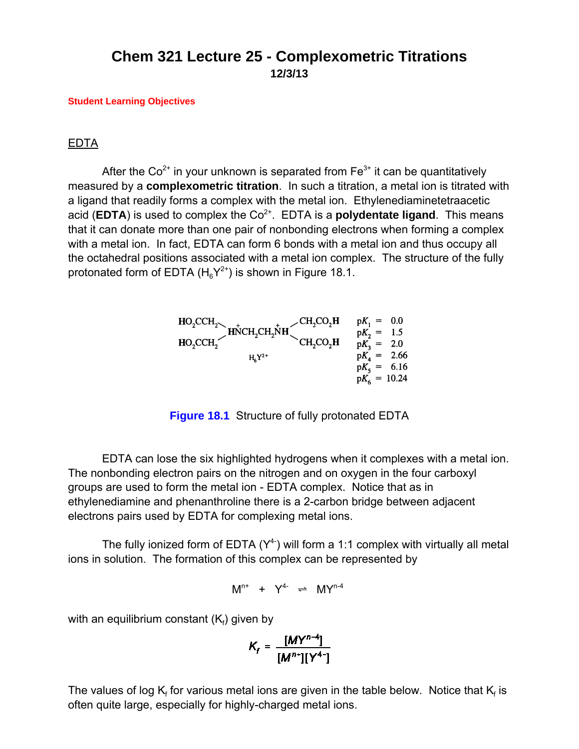## **Chem 321 Lecture 25 - Complexometric Titrations 12/3/13**

## **[Student Learning Objectives](http://www.csun.edu/~hcchm003/321/321LO120313.pdf)**

## EDTA

After the  $Co^{2+}$  in your unknown is separated from  $Fe^{3+}$  it can be quantitatively measured by a **complexometric titration**. In such a titration, a metal ion is titrated with a ligand that readily forms a complex with the metal ion. Ethylenediaminetetraacetic acid (**EDTA**) is used to complex the  $Co<sup>2+</sup>$ . EDTA is a **polydentate ligand**. This means that it can donate more than one pair of nonbonding electrons when forming a complex with a metal ion. In fact, EDTA can form 6 bonds with a metal ion and thus occupy all the octahedral positions associated with a metal ion complex. The structure of the fully protonated form of EDTA  $(H_{6}Y^{2+})$  is shown in Figure 18.1.

$$
HO_{2}CCH_{2}
$$
\n
$$
HO_{2}CCH_{2}
$$
\n
$$
HO_{2}CCH_{2}
$$
\n
$$
H_{6}Y^{2+}
$$
\n
$$
CH_{2}CO_{2}H
$$
\n
$$
PK_{1} = 0.0
$$
\n
$$
pK_{2} = 1.5
$$
\n
$$
pK_{3} = 2.0
$$
\n
$$
pK_{4} = 2.66
$$
\n
$$
pK_{5} = 6.16
$$
\n
$$
pK_{6} = 10.24
$$

**Figure 18.1** Structure of fully protonated EDTA

EDTA can lose the six highlighted hydrogens when it complexes with a metal ion. The nonbonding electron pairs on the nitrogen and on oxygen in the four carboxyl groups are used to form the metal ion - EDTA complex. Notice that as in ethylenediamine and phenanthroline there is a 2-carbon bridge between adjacent electrons pairs used by EDTA for complexing metal ions.

The fully ionized form of EDTA  $(Y^4)$  will form a 1:1 complex with virtually all metal ions in solution. The formation of this complex can be represented by

$$
M^{n+} + Y^{4-} \rightleftharpoons MY^{n-4}
$$

with an equilibrium constant (K $_{\mathsf{f}}$ ) given by

$$
K_{f} = \frac{[MY^{n-4}]}{[M^{n+1}][Y^{4-}]}
$$

The values of log  $\mathsf{K}_{\mathsf{f}}$  for various metal ions are given in the table below. Notice that  $\mathsf{K}_{\mathsf{f}}$  is often quite large, especially for highly-charged metal ions.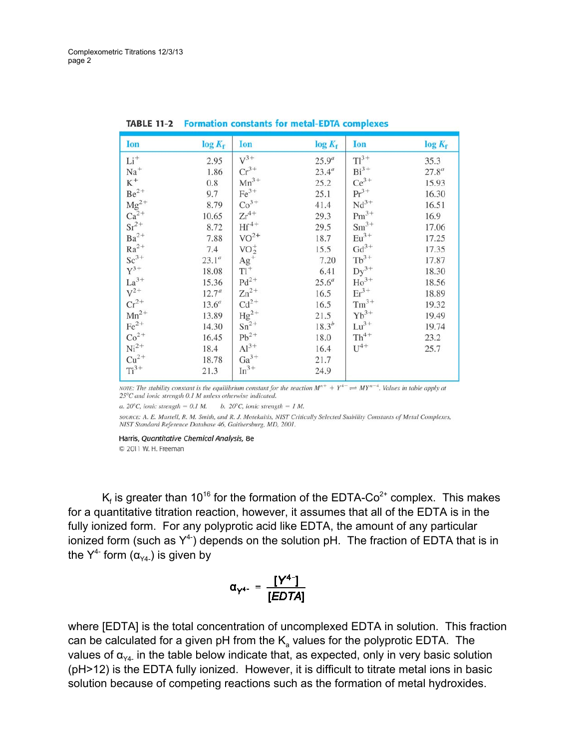| Ion                                             | $log K_f$         | Ion                 | $log K_f$  | Ion                | $log K_f$ |
|-------------------------------------------------|-------------------|---------------------|------------|--------------------|-----------|
| $Li+$                                           | 2.95              | $V^{3+}$            | $25.9^a$   | $TI^{3+}$          | 35.3      |
| $Na+$                                           | 1.86              | $Cr^{3+}$           | $23.4^a$   | $Bi^{3+}$          | $27.8^a$  |
| $K^+$                                           | 0.8               | $Mn^{3+}$           | 25.2       | $Ce^{3+}$          | 15.93     |
| $\rm{Be}^{2+}$                                  | 9.7               | $Fe^{3+}$           | 25.1       | $Pr^{3+}$          | 16.30     |
| $\rm Mg^{2+}$                                   | 8.79              | $Co3+$              | 41.4       | $Nd^{3+}$          | 16.51     |
| $Ca^{2+}$                                       | 10.65             | $Zr^{4+}$           | 29.3       | $Pm^{3+}$          | 16.9      |
| $\text{Sr}^{2+}$                                | 8.72              | $Hf^{4+}$           | 29.5       | $\mathrm{Sm^{3+}}$ | 17.06     |
| $Ba^{2+}$                                       | 7.88              | $VO2+$              | 18.7       | $Eu^{3+}$          | 17.25     |
| $Ra^{2+}$                                       | 7.4               | $VO2+$              | 15.5       | $Gd^{3+}$          | 17.35     |
| $Sc^{3+}$                                       | $23.1^a$          | $\frac{Ag^+}{TI^+}$ | 7.20       | $Tb^{3+}$          | 17.87     |
| $Y^{3+}$<br>La <sup>3+</sup><br>V <sup>2+</sup> | 18.08             |                     | 6.41       | $Dy^{3+}$          | 18.30     |
|                                                 | 15.36             | $Pd^{2+}$           | $25.6^a$   | $Ho^{3+}$          | 18.56     |
|                                                 | 12.7 <sup>a</sup> | $Zn^{2+}$           | 16.5       | $\mathrm{Er}^{3+}$ | 18.89     |
| $Cr^{2+}$                                       | $13.6^a$          | $Cd^{2+}$           | 16.5       | $\rm{Tm}^{3+}$     | 19.32     |
| ${\rm Mn}^{2+}$                                 | 13.89             | $Hg^{2+}$           | 21.5       | $\rm Yb^{3+}$      | 19.49     |
| $Fe2+$                                          | 14.30             | $Sn^{2+}$           | $18.3^{b}$ | $Lu^{3+}$          | 19.74     |
| $Co2+$                                          | 16.45             | $\rm Pb^{2+}$       | 18.0       | $Th^{4+}$          | 23.2      |
| $Ni2+$                                          | 18.4              | $Al^{3+}$           | 16.4       | $U^{4+}$           | 25.7      |
| $Cu2+$                                          | 18.78             | $Ga^{3+}$           | 21.7       |                    |           |
| $Ti3+$                                          | 21.3              | $In^{3+}$           | 24.9       |                    |           |

| <b>TABLE 11-2 Formation constants for metal-EDTA complexes</b> |  |  |  |  |  |
|----------------------------------------------------------------|--|--|--|--|--|
|----------------------------------------------------------------|--|--|--|--|--|

NOTE: The stability constant is the equilibrium constant for the reaction  $M^{n+} + Y^{4-} \rightleftharpoons MY^{n-4}$ . Values in table apply at 25°C and ionic strength 0.1 M unless otherwise indicated.

a. 20°C, ionic strength = 0.1 M. b. 20°C, ionic strength = 1 M.

SOURCE: A. E. Martell, R. M. Smith, and R. J. Motekaitis, NIST Critically Selected Stability Constants of Metal Complexes, NIST Standard Reference Database 46, Gaithersburg, MD, 2001.

Harris, Quantitative Chemical Analysis, 8e © 2011 W. H. Freeman

K<sub>f</sub> is greater than 10<sup>16</sup> for the formation of the EDTA-Co<sup>2+</sup> complex. This makes for a quantitative titration reaction, however, it assumes that all of the EDTA is in the fully ionized form. For any polyprotic acid like EDTA, the amount of any particular ionized form (such as  $Y^{4}$ ) depends on the solution pH. The fraction of EDTA that is in the  $Y^{4-}$  form  $(\alpha_{Y4-})$  is given by

$$
\alpha_{Y^{4-}} = \frac{[Y^{4-}]}{[EDTA]}
$$

where [EDTA] is the total concentration of uncomplexed EDTA in solution. This fraction can be calculated for a given pH from the  $K_a$  values for the polyprotic EDTA. The values of  $\alpha_{Y4}$  in the table below indicate that, as expected, only in very basic solution (pH>12) is the EDTA fully ionized. However, it is difficult to titrate metal ions in basic solution because of competing reactions such as the formation of metal hydroxides.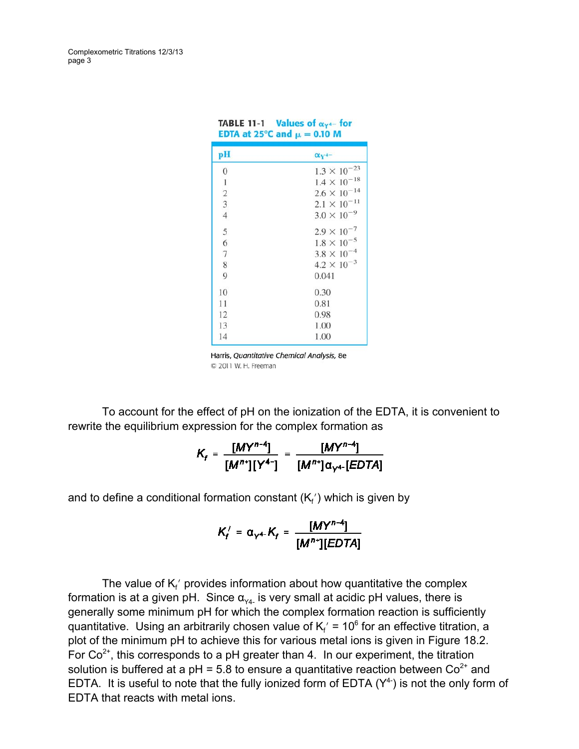Complexometric Titrations 12/3/13 page 3

| pH               | $\alpha_{V^{4-}}$     |  |  |
|------------------|-----------------------|--|--|
| $\boldsymbol{0}$ | $1.3 \times 10^{-23}$ |  |  |
| 1                | $1.4 \times 10^{-18}$ |  |  |
| $\sqrt{2}$       | $2.6 \times 10^{-14}$ |  |  |
| $\overline{3}$   | $2.1 \times 10^{-11}$ |  |  |
| $\overline{4}$   | $3.0 \times 10^{-9}$  |  |  |
| 5                | $2.9 \times 10^{-7}$  |  |  |
| 6                | $1.8 \times 10^{-5}$  |  |  |
| $\overline{7}$   | $3.8 \times 10^{-4}$  |  |  |
| 8                | $4.2 \times 10^{-3}$  |  |  |
| 9                | 0.041                 |  |  |
| 10               | 0.30                  |  |  |
| 11               | 0.81                  |  |  |
| 12               | 0.98                  |  |  |
| 13               | 1.00                  |  |  |
| 14               | 1.00                  |  |  |

**TABLE 11-1** Values of  $\alpha_{Y^4}$ - for

Harris, Quantitative Chemical Analysis, 8e © 2011 W. H. Freeman

To account for the effect of pH on the ionization of the EDTA, it is convenient to rewrite the equilibrium expression for the complex formation as

$$
K_{f} = \frac{[MY^{n-4}]}{[M^{n+1}][Y^{4-}]} = \frac{[MY^{n-4}]}{[M^{n+1}]\alpha_{Y^{4-}}[EDTA]}
$$

and to define a conditional formation constant (K $_{\mathsf{f}}$ ′) which is given by

$$
K_f' = \alpha_{Y^{4-}} K_f = \frac{[MY^{n-4}]}{[M^{n+1}][EDTA]}
$$

The value of  $\mathsf{K}_{\mathsf{f}}'$  provides information about how quantitative the complex formation is at a given pH. Since  $\alpha_{\text{val}}$  is very small at acidic pH values, there is generally some minimum pH for which the complex formation reaction is sufficiently quantitative. Using an arbitrarily chosen value of  $\mathsf{K}_{\mathsf{f}}'$  = 10 $^6$  for an effective titration, a plot of the minimum pH to achieve this for various metal ions is given in Figure 18.2. For  $Co<sup>2+</sup>$ , this corresponds to a pH greater than 4. In our experiment, the titration solution is buffered at a  $pH = 5.8$  to ensure a quantitative reaction between  $Co^{2+}$  and EDTA. It is useful to note that the fully ionized form of EDTA  $(Y^4)$  is not the only form of EDTA that reacts with metal ions.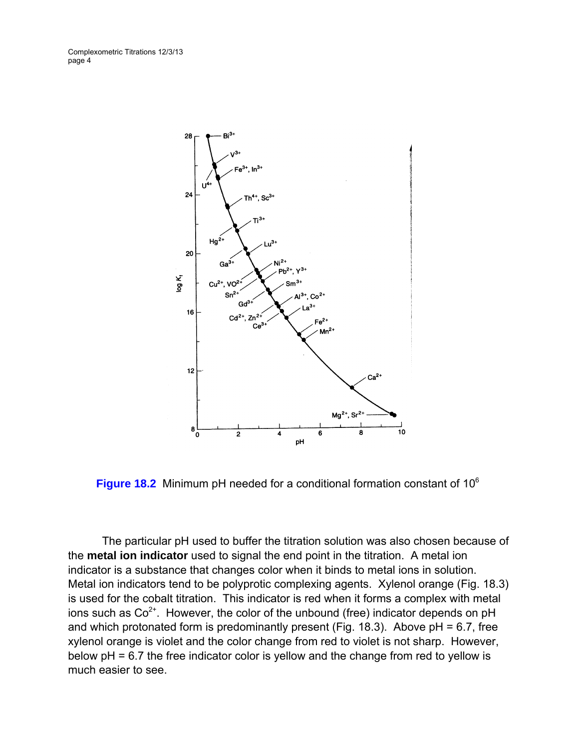Complexometric Titrations 12/3/13 page 4



**Figure 18.2** Minimum pH needed for a conditional formation constant of 10<sup>6</sup>

The particular pH used to buffer the titration solution was also chosen because of the **metal ion indicator** used to signal the end point in the titration. A metal ion indicator is a substance that changes color when it binds to metal ions in solution. Metal ion indicators tend to be polyprotic complexing agents. Xylenol orange (Fig. 18.3) is used for the cobalt titration. This indicator is red when it forms a complex with metal ions such as  $Co<sup>2+</sup>$ . However, the color of the unbound (free) indicator depends on pH and which protonated form is predominantly present (Fig. 18.3). Above  $pH = 6.7$ , free xylenol orange is violet and the color change from red to violet is not sharp. However, below pH = 6.7 the free indicator color is yellow and the change from red to yellow is much easier to see.